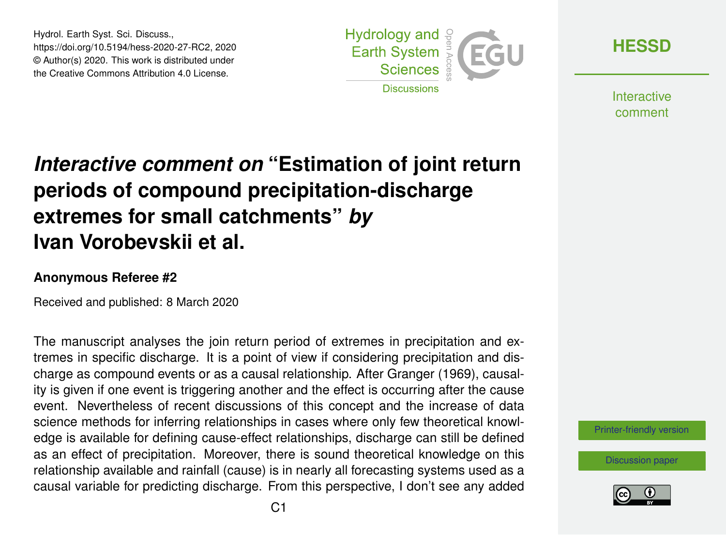Hydrol. Earth Syst. Sci. Discuss., https://doi.org/10.5194/hess-2020-27-RC2, 2020 © Author(s) 2020. This work is distributed under the Creative Commons Attribution 4.0 License.



**[HESSD](https://www.hydrol-earth-syst-sci-discuss.net/)**

**Interactive** comment

## *Interactive comment on* **"Estimation of joint return periods of compound precipitation-discharge extremes for small catchments"** *by* **Ivan Vorobevskii et al.**

## **Anonymous Referee #2**

Received and published: 8 March 2020

The manuscript analyses the join return period of extremes in precipitation and extremes in specific discharge. It is a point of view if considering precipitation and discharge as compound events or as a causal relationship. After Granger (1969), causality is given if one event is triggering another and the effect is occurring after the cause event. Nevertheless of recent discussions of this concept and the increase of data science methods for inferring relationships in cases where only few theoretical knowledge is available for defining cause-effect relationships, discharge can still be defined as an effect of precipitation. Moreover, there is sound theoretical knowledge on this relationship available and rainfall (cause) is in nearly all forecasting systems used as a causal variable for predicting discharge. From this perspective, I don't see any added

[Printer-friendly version](https://www.hydrol-earth-syst-sci-discuss.net/hess-2020-27/hess-2020-27-RC2-print.pdf)

[Discussion paper](https://www.hydrol-earth-syst-sci-discuss.net/hess-2020-27)